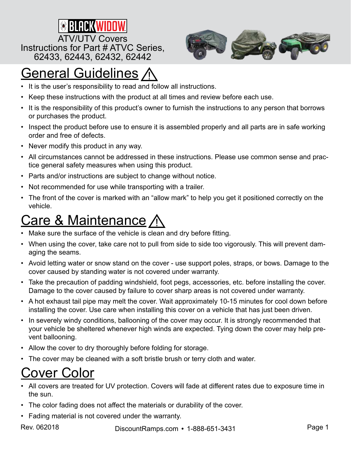



# General Guidelines

- It is the user's responsibility to read and follow all instructions.
- Keep these instructions with the product at all times and review before each use.
- It is the responsibility of this product's owner to furnish the instructions to any person that borrows or purchases the product.
- Inspect the product before use to ensure it is assembled properly and all parts are in safe working order and free of defects.
- Never modify this product in any way.
- All circumstances cannot be addressed in these instructions. Please use common sense and practice general safety measures when using this product.
- Parts and/or instructions are subject to change without notice.
- Not recommended for use while transporting with a trailer.
- The front of the cover is marked with an "allow mark" to help you get it positioned correctly on the vehicle.

# <u>Care & Maintenance</u>

- Make sure the surface of the vehicle is clean and dry before fitting.
- When using the cover, take care not to pull from side to side too vigorously. This will prevent damaging the seams.
- Avoid letting water or snow stand on the cover use support poles, straps, or bows. Damage to the cover caused by standing water is not covered under warranty.
- Take the precaution of padding windshield, foot pegs, accessories, etc. before installing the cover. Damage to the cover caused by failure to cover sharp areas is not covered under warranty.
- A hot exhaust tail pipe may melt the cover. Wait approximately 10-15 minutes for cool down before installing the cover. Use care when installing this cover on a vehicle that has just been driven.
- In severely windy conditions, ballooning of the cover may occur. It is strongly recommended that your vehicle be sheltered whenever high winds are expected. Tying down the cover may help prevent ballooning.
- Allow the cover to dry thoroughly before folding for storage.
- The cover may be cleaned with a soft bristle brush or terry cloth and water.

### Cover Color

- All covers are treated for UV protection. Covers will fade at different rates due to exposure time in the sun.
- The color fading does not affect the materials or durability of the cover.
- Fading material is not covered under the warranty.